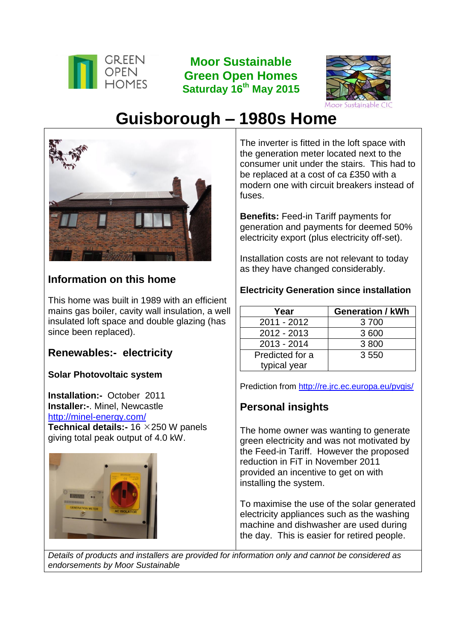

**Moor Sustainable Green Open Homes Saturday 16th May 2015**



# **Guisborough – 1980s Home**



# **Information on this home**

This home was built in 1989 with an efficient mains gas boiler, cavity wall insulation, a well insulated loft space and double glazing (has since been replaced).

## **Renewables:- electricity**

## **Solar Photovoltaic system**

**Installation:-** October 2011 **Installer:-**. Minel, Newcastle <http://minel-energy.com/> **Technical details:- 16 × 250 W panels** giving total peak output of 4.0 kW.



The inverter is fitted in the loft space with the generation meter located next to the consumer unit under the stairs. This had to be replaced at a cost of ca £350 with a modern one with circuit breakers instead of fuses.

**Benefits:** Feed-in Tariff payments for generation and payments for deemed 50% electricity export (plus electricity off-set).

Installation costs are not relevant to today as they have changed considerably.

#### **Electricity Generation since installation**

| Year            | <b>Generation / kWh</b> |
|-----------------|-------------------------|
| 2011 - 2012     | 3700                    |
| $2012 - 2013$   | 3600                    |
| 2013 - 2014     | 3800                    |
| Predicted for a | 3550                    |
| typical year    |                         |

Prediction from<http://re.jrc.ec.europa.eu/pvgis/>

# **Personal insights**

The home owner was wanting to generate green electricity and was not motivated by the Feed-in Tariff. However the proposed reduction in FiT in November 2011 provided an incentive to get on with installing the system.

To maximise the use of the solar generated electricity appliances such as the washing machine and dishwasher are used during the day. This is easier for retired people.

*Details of products and installers are provided for information only and cannot be considered as endorsements by Moor Sustainable*